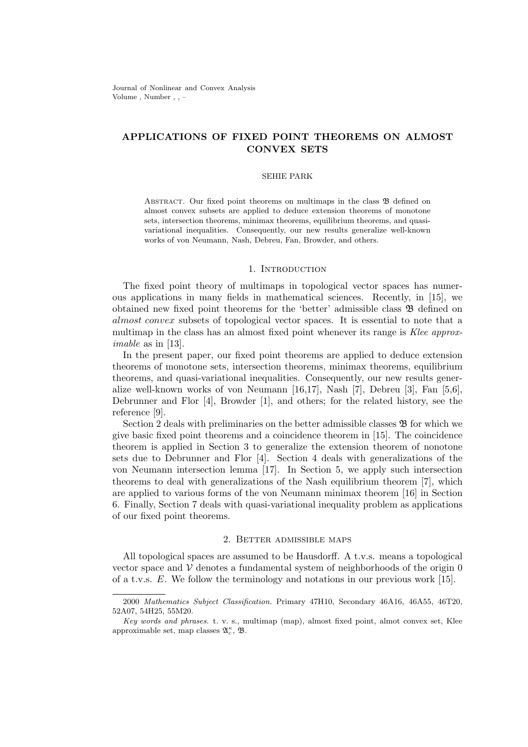Journal of Nonlinear and Convex Analysis Volume , Number , , –

# **APPLICATIONS OF FIXED POINT THEOREMS ON ALMOST CONVEX SETS**

### SEHIE PARK

ABSTRACT. Our fixed point theorems on multimaps in the class  $\mathfrak{B}$  defined on almost convex subsets are applied to deduce extension theorems of monotone sets, intersection theorems, minimax theorems, equilibrium theorems, and quasivariational inequalities. Consequently, our new results generalize well-known works of von Neumann, Nash, Debreu, Fan, Browder, and others.

### 1. INTRODUCTION

The fixed point theory of multimaps in topological vector spaces has numerous applications in many fields in mathematical sciences. Recently, in [15], we obtained new fixed point theorems for the 'better' admissible class B defined on *almost convex* subsets of topological vector spaces. It is essential to note that a multimap in the class has an almost fixed point whenever its range is *Klee approximable* as in [13].

In the present paper, our fixed point theorems are applied to deduce extension theorems of monotone sets, intersection theorems, minimax theorems, equilibrium theorems, and quasi-variational inequalities. Consequently, our new results generalize well-known works of von Neumann [16,17], Nash [7], Debreu [3], Fan [5,6], Debrunner and Flor [4], Browder [1], and others; for the related history, see the reference [9].

Section 2 deals with preliminaries on the better admissible classes  $\mathfrak{B}$  for which we give basic fixed point theorems and a coincidence theorem in [15]. The coincidence theorem is applied in Section 3 to generalize the extension theorem of nonotone sets due to Debrunner and Flor [4]. Section 4 deals with generalizations of the von Neumann intersection lemma [17]. In Section 5, we apply such intersection theorems to deal with generalizations of the Nash equilibrium theorem [7], which are applied to various forms of the von Neumann minimax theorem [16] in Section 6. Finally, Section 7 deals with quasi-variational inequality problem as applications of our fixed point theorems.

# 2. Better admissible maps

All topological spaces are assumed to be Hausdorff. A t.v.s. means a topological vector space and  $V$  denotes a fundamental system of neighborhoods of the origin  $0$ of a t.v.s. *E*. We follow the terminology and notations in our previous work [15].

<sup>2000</sup> *Mathematics Subject Classification.* Primary 47H10, Secondary 46A16, 46A55, 46T20, 52A07, 54H25, 55M20.

*Key words and phrases.* t. v. s., multimap (map), almost fixed point, almot convex set, Klee approximable set, map classes A *κ <sup>c</sup>* , B.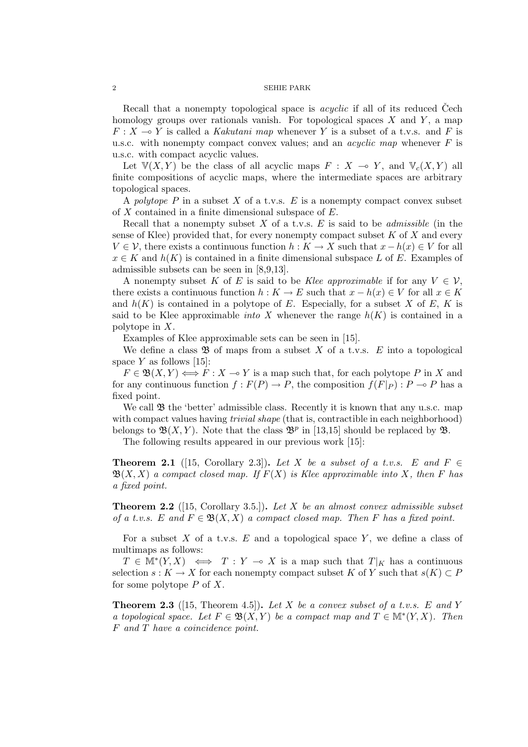Recall that a nonempty topological space is *acyclic* if all of its reduced Cech homology groups over rationals vanish. For topological spaces *X* and *Y* , a map  $F: X \longrightarrow Y$  is called a *Kakutani map* whenever *Y* is a subset of a t.v.s. and *F* is u.s.c. with nonempty compact convex values; and an *acyclic map* whenever *F* is u.s.c. with compact acyclic values.

Let  $V(X, Y)$  be the class of all acyclic maps  $F: X \to Y$ , and  $V_c(X, Y)$  all finite compositions of acyclic maps, where the intermediate spaces are arbitrary topological spaces.

A *polytope*  $P$  in a subset  $X$  of a t.v.s.  $E$  is a nonempty compact convex subset of *X* contained in a finite dimensional subspace of *E*.

Recall that a nonempty subset *X* of a t.v.s. *E* is said to be *admissible* (in the sense of Klee) provided that, for every nonempty compact subset *K* of *X* and every *V*  $\in$  *V*, there exists a continuous function *h* : *K* → *X* such that  $x - h(x) \in V$  for all  $x \in K$  and  $h(K)$  is contained in a finite dimensional subspace *L* of *E*. Examples of admissible subsets can be seen in [8,9,13].

A nonempty subset K of E is said to be Klee approximable if for any  $V \in \mathcal{V}$ , there exists a continuous function  $h: K \to E$  such that  $x - h(x) \in V$  for all  $x \in K$ and  $h(K)$  is contained in a polytope of  $E$ . Especially, for a subset  $X$  of  $E$ ,  $K$  is said to be Klee approximable *into X* whenever the range  $h(K)$  is contained in a polytope in *X*.

Examples of Klee approximable sets can be seen in [15].

We define a class  $\mathfrak{B}$  of maps from a subset X of a t.v.s.  $E$  into a topological space  $Y$  as follows [15]:

 $F \in \mathfrak{B}(X, Y) \Longleftrightarrow F : X \to Y$  is a map such that, for each polytope *P* in *X* and for any continuous function  $f : F(P) \to P$ , the composition  $f(F|_{P}) : P \to P$  has a fixed point.

We call  $\mathfrak B$  the 'better' admissible class. Recently it is known that any u.s.c. map with compact values having *trivial shape* (that is, contractible in each neighborhood) belongs to  $\mathfrak{B}(X,Y)$ . Note that the class  $\mathfrak{B}^p$  in [13,15] should be replaced by  $\mathfrak{B}$ .

The following results appeared in our previous work [15]:

**Theorem 2.1** ([15, Corollary 2.3]). Let X be a subset of a t.v.s. E and  $F \in$  $\mathfrak{B}(X, X)$  *a compact closed map. If*  $F(X)$  *is Klee approximable into* X, then F has *a fixed point.*

**Theorem 2.2** ([15, Corollary 3.5.])**.** *Let X be an almost convex admissible subset of a t.v.s.*  $E$  and  $F \in \mathfrak{B}(X,X)$  a compact closed map. Then F has a fixed point.

For a subset *X* of a t.v.s. *E* and a topological space *Y* , we define a class of multimaps as follows:

 $T \in M^*(Y, X) \iff T : Y \multimap X$  is a map such that  $T|_K$  has a continuous selection *s* :  $K \to X$  for each nonempty compact subset  $K$  of  $Y$  such that  $s(K) \subset P$ for some polytope *P* of *X*.

**Theorem 2.3** ([15, Theorem 4.5])**.** *Let X be a convex subset of a t.v.s. E and Y a* topological space. Let  $F \in \mathfrak{B}(X, Y)$  be a compact map and  $T \in \mathbb{M}^*(Y, X)$ . Then *F and T have a coincidence point.*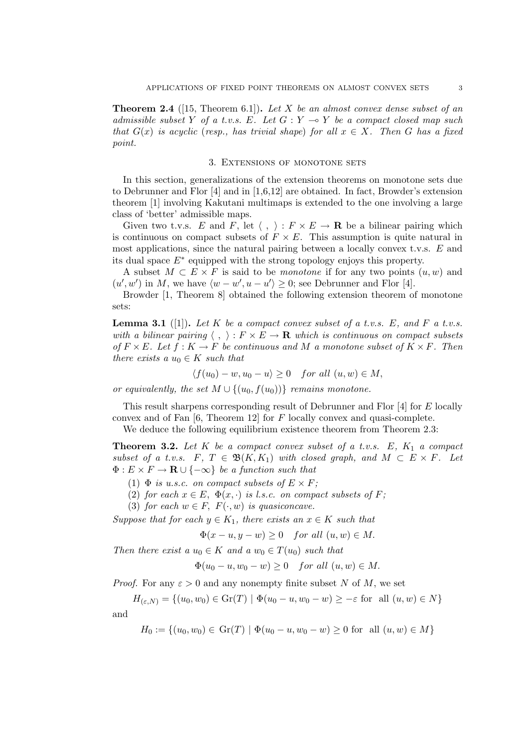**Theorem 2.4** ([15, Theorem 6.1])**.** *Let X be an almost convex dense subset of an admissible subset Y of a t.v.s.*  $E$ *. Let*  $G: Y \rightarrow Y$  *be a compact closed map such that*  $G(x)$  *is acyclic* (*resp., has trivial shape*) *for all*  $x \in X$ *. Then G has a fixed point.*

### 3. Extensions of monotone sets

In this section, generalizations of the extension theorems on monotone sets due to Debrunner and Flor [4] and in [1,6,12] are obtained. In fact, Browder's extension theorem [1] involving Kakutani multimaps is extended to the one involving a large class of 'better' admissible maps.

Given two t.v.s. *E* and *F*, let  $\langle , \rangle : F \times E \to \mathbf{R}$  be a bilinear pairing which is continuous on compact subsets of  $F \times E$ . This assumption is quite natural in most applications, since the natural pairing between a locally convex t.v.s. *E* and its dual space *E∗* equipped with the strong topology enjoys this property.

A subset  $M \subset E \times F$  is said to be *monotone* if for any two points  $(u, w)$  and  $(u', w')$  in *M*, we have  $\langle w - w', u - u' \rangle \geq 0$ ; see Debrunner and Flor [4].

Browder [1, Theorem 8] obtained the following extension theorem of monotone sets:

**Lemma 3.1** ([1]). Let K be a compact convex subset of a t.v.s. E, and F a t.v.s. *with a bilinear pairing*  $\langle , \rangle : F \times E \rightarrow \mathbf{R}$  *which is continuous on compact subsets*  $of$   $F \times E$ *. Let*  $f : K \to F$  *be continuous and*  $M$  *a monotone subset of*  $K \times F$ *. Then there exists a*  $u_0 \in K$  *such that* 

$$
\langle f(u_0)-w, u_0-u\rangle \ge 0 \quad for all (u, w) \in M,
$$

*or equivalently, the set*  $M \cup \{(u_0, f(u_0))\}$  *remains monotone.* 

This result sharpens corresponding result of Debrunner and Flor [4] for *E* locally convex and of Fan [6, Theorem 12] for *F* locally convex and quasi-complete.

We deduce the following equilibrium existence theorem from Theorem 2.3:

**Theorem 3.2.** *Let K be a compact convex subset of a t.v.s. E, K*<sup>1</sup> *a compact subset of a t.v.s.*  $F, T \in \mathfrak{B}(K, K_1)$  *with closed graph, and*  $M \subset E \times F$ *. Let*  $\Phi: E \times F \to \mathbf{R} \cup \{-\infty\}$  *be a function such that* 

- (1)  $\Phi$  *is u.s.c. on compact subsets of*  $E \times F$ ;
- (2) *for each*  $x \in E$ ,  $\Phi(x, \cdot)$  *is l.s.c. on compact subsets of F*;
- (3) *for each*  $w \in F$ ,  $F(\cdot, w)$  *is quasiconcave.*

*Suppose that for each*  $y \in K_1$ *, there exists an*  $x \in K$  *such that* 

$$
\Phi(x - u, y - w) \ge 0 \quad \text{for all } (u, w) \in M.
$$

*Then there exist a*  $u_0 \in K$  *and a*  $w_0 \in T(u_0)$  *such that* 

$$
\Phi(u_0 - u, w_0 - w) \ge 0 \quad \text{for all } (u, w) \in M.
$$

*Proof.* For any  $\varepsilon > 0$  and any nonempty finite subset *N* of *M*, we set

 $H_{(\varepsilon,N)} = \{(u_0, w_0) \in \text{Gr}(T) \mid \Phi(u_0 - u, w_0 - w) \geq -\varepsilon \text{ for all } (u, w) \in N\}$ and

 $H_0 := \{(u_0, w_0) \in \text{Gr}(T) \mid \Phi(u_0 - u, w_0 - w) \geq 0 \text{ for all } (u, w) \in M\}$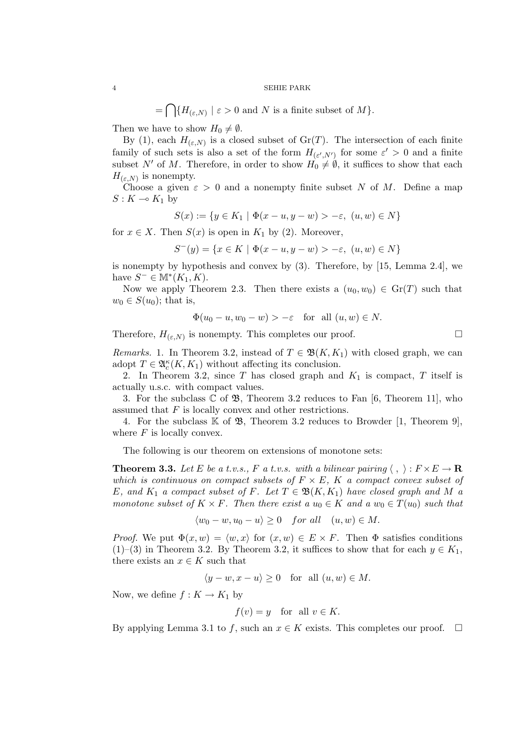$=\bigcap \{H_{(\varepsilon,N)} | \varepsilon > 0 \text{ and } N \text{ is a finite subset of } M\}.$ 

Then we have to show  $H_0 \neq \emptyset$ .

By (1), each  $H_{(\varepsilon,N)}$  is a closed subset of  $Gr(T)$ . The intersection of each finite family of such sets is also a set of the form  $H_{(\varepsilon',N')}$  for some  $\varepsilon' > 0$  and a finite subset *N'* of *M*. Therefore, in order to show  $H_0 \neq \emptyset$ , it suffices to show that each  $H_{(\varepsilon,N)}$  is nonempty.

Choose a given  $\varepsilon > 0$  and a nonempty finite subset *N* of *M*. Define a map  $S: K \multimap K_1$  by

$$
S(x) := \{ y \in K_1 \mid \Phi(x - u, y - w) > -\varepsilon, \ (u, w) \in N \}
$$

for  $x \in X$ . Then  $S(x)$  is open in  $K_1$  by (2). Moreover,

$$
S^{-}(y) = \{ x \in K \mid \Phi(x - u, y - w) > -\varepsilon, \ (u, w) \in N \}
$$

is nonempty by hypothesis and convex by (3). Therefore, by [15, Lemma 2.4], we have  $S^-$  ∈ M<sup>\*</sup>( $K_1, K$ ).

Now we apply Theorem 2.3. Then there exists a  $(u_0, w_0) \in \mathrm{Gr}(T)$  such that  $w_0 \in S(u_0)$ ; that is,

$$
\Phi(u_0 - u, w_0 - w) > -\varepsilon \quad \text{for all } (u, w) \in N.
$$

Therefore,  $H_{(\varepsilon,N)}$  is nonempty. This completes our proof.  $\Box$ 

*Remarks.* 1. In Theorem 3.2, instead of  $T \in \mathfrak{B}(K, K_1)$  with closed graph, we can adopt  $T \in \mathfrak{A}_c^{\kappa}(K, K_1)$  without affecting its conclusion.

2. In Theorem 3.2, since *T* has closed graph and *K*<sup>1</sup> is compact, *T* itself is actually u.s.c. with compact values.

3. For the subclass  $\mathbb C$  of  $\mathfrak{B}$ , Theorem 3.2 reduces to Fan [6, Theorem 11], who assumed that *F* is locally convex and other restrictions.

4. For the subclass  $K$  of  $\mathfrak{B}$ , Theorem 3.2 reduces to Browder [1, Theorem 9], where *F* is locally convex.

The following is our theorem on extensions of monotone sets:

**Theorem 3.3.** Let E be a t.v.s., F a t.v.s. with a bilinear pairing  $\langle , \rangle : F \times E \to \mathbf{R}$ *which is continuous on compact subsets of*  $F \times E$ ,  $K$  *a compact convex subset of E, and*  $K_1$  *a compact subset of F. Let*  $T \in \mathfrak{B}(K, K_1)$  *have closed graph and*  $M$  *a monotone subset of*  $K \times F$ *. Then there exist a*  $u_0 \in K$  *and*  $a w_0 \in T(u_0)$  *such that* 

$$
\langle w_0 - w, u_0 - u \rangle \ge 0 \quad \text{for all} \quad (u, w) \in M.
$$

*Proof.* We put  $\Phi(x, w) = \langle w, x \rangle$  for  $(x, w) \in E \times F$ . Then  $\Phi$  satisfies conditions (1)–(3) in Theorem 3.2. By Theorem 3.2, it suffices to show that for each  $y \in K_1$ , there exists an  $x \in K$  such that

$$
\langle y - w, x - u \rangle \ge 0 \quad \text{for all } (u, w) \in M.
$$

Now, we define  $f: K \to K_1$  by

$$
f(v) = y \quad \text{for all } v \in K.
$$

By applying Lemma 3.1 to *f*, such an  $x \in K$  exists. This completes our proof.  $\Box$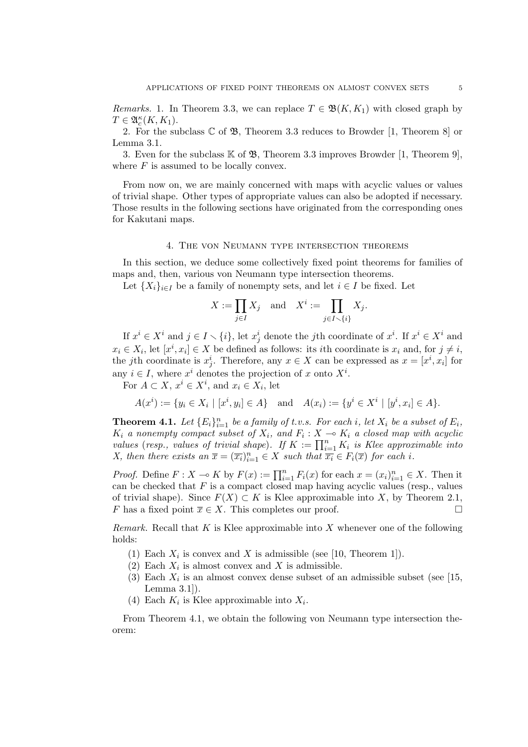*Remarks.* 1. In Theorem 3.3, we can replace  $T \in \mathfrak{B}(K, K_1)$  with closed graph by  $T \in \mathfrak{A}_{\underline{c}}^{\kappa}(K,K_1).$ 

2. For the subclass  $\mathbb C$  of  $\mathfrak{B}$ , Theorem 3.3 reduces to Browder [1, Theorem 8] or Lemma 3.1.

3. Even for the subclass  $\mathbb K$  of  $\mathfrak B$ , Theorem 3.3 improves Browder [1, Theorem 9], where *F* is assumed to be locally convex.

From now on, we are mainly concerned with maps with acyclic values or values of trivial shape. Other types of appropriate values can also be adopted if necessary. Those results in the following sections have originated from the corresponding ones for Kakutani maps.

### 4. The von Neumann type intersection theorems

In this section, we deduce some collectively fixed point theorems for families of maps and, then, various von Neumann type intersection theorems.

Let  ${X_i}_{i \in I}$  be a family of nonempty sets, and let  $i \in I$  be fixed. Let

$$
X := \prod_{j \in I} X_j \quad \text{and} \quad X^i := \prod_{j \in I \smallsetminus \{i\}} X_j.
$$

If  $x^i \in X^i$  and  $j \in I \setminus \{i\}$ , let  $x^i_j$  denote the *j*th coordinate of  $x^i$ . If  $x^i \in X^i$  and  $x_i \in X_i$ , let  $[x^i, x_i] \in X$  be defined as follows: its *i*th coordinate is  $x_i$  and, for  $j \neq i$ , the *j*th coordinate is  $x_j^i$ . Therefore, any  $x \in X$  can be expressed as  $x = [x^i, x_i]$  for any  $i \in I$ , where  $x^i$  denotes the projection of  $x$  onto  $X^i$ .

For  $A \subset X$ ,  $x^i \in X^i$ , and  $x_i \in X_i$ , let

$$
A(x^{i}) := \{ y_{i} \in X_{i} \mid [x^{i}, y_{i}] \in A \} \text{ and } A(x_{i}) := \{ y^{i} \in X^{i} \mid [y^{i}, x_{i}] \in A \}.
$$

**Theorem 4.1.** Let  ${E_i}_{i=1}^n$  be a family of t.v.s. For each *i*, let  $X_i$  be a subset of  $E_i$ ,  $K_i$  *a nonempty compact subset of*  $X_i$ *, and*  $F_i: X \to K_i$  *a closed map with acyclic values* (*resp., values of trivial shape*)*. If*  $K := \prod_{i=1}^{n} K_i$  *is Klee approximable into X, then there exists an*  $\overline{x} = (\overline{x_i})_{i=1}^n \in X$  *such that*  $\overline{x_i} \in F_i(\overline{x})$  *for each i.* 

*Proof.* Define  $F: X \to K$  by  $F(x) := \prod_{i=1}^{n} F_i(x)$  for each  $x = (x_i)_{i=1}^{n} \in X$ . Then it can be checked that  $F$  is a compact closed map having acyclic values (resp., values of trivial shape). Since  $F(X) \subset K$  is Klee approximable into *X*, by Theorem 2.1, <br>*F* has a fixed point  $\overline{x} \in X$ . This completes our proof *F* has a fixed point  $\overline{x} \in X$ . This completes our proof.

*Remark.* Recall that *K* is Klee approximable into *X* whenever one of the following holds:

- (1) Each  $X_i$  is convex and  $X$  is admissible (see [10, Theorem 1]).
- (2) Each  $X_i$  is almost convex and  $X$  is admissible.
- (3) Each  $X_i$  is an almost convex dense subset of an admissible subset (see [15, Lemma 3.1]).
- (4) Each  $K_i$  is Klee approximable into  $X_i$ .

From Theorem 4.1, we obtain the following von Neumann type intersection theorem: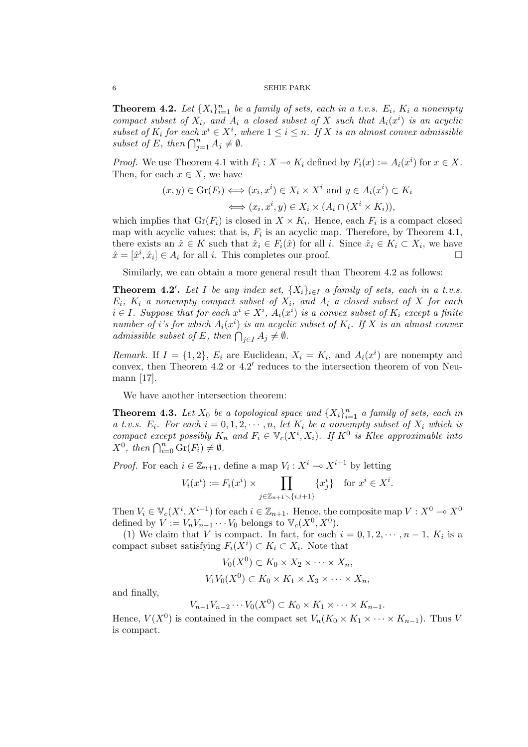**Theorem 4.2.** Let  $\{X_i\}_{i=1}^n$  be a family of sets, each in a t.v.s.  $E_i$ ,  $K_i$  a nonempty *compact subset of*  $X_i$ *, and*  $A_i$  *a closed subset of*  $X$  *such that*  $A_i(x^i)$  *is an acyclic subset of*  $K_i$  *for each*  $x^i \in X^i$ , where  $1 \leq i \leq n$ . If X is an almost convex admissible *subset of E, then*  $\bigcap_{j=1}^{n} A_j \neq \emptyset$ *.* 

*Proof.* We use Theorem 4.1 with  $F_i: X \to K_i$  defined by  $F_i(x) := A_i(x^i)$  for  $x \in X$ . Then, for each  $x \in X$ , we have

$$
(x, y) \in \text{Gr}(F_i) \iff (x_i, x^i) \in X_i \times X^i \text{ and } y \in A_i(x^i) \subset K_i
$$

$$
\iff (x_i, x^i, y) \in X_i \times (A_i \cap (X^i \times K_i)),
$$

which implies that  $Gr(F_i)$  is closed in  $X \times K_i$ . Hence, each  $F_i$  is a compact closed map with acyclic values; that is,  $F_i$  is an acyclic map. Therefore, by Theorem 4.1, there exists an  $\hat{x} \in K$  such that  $\hat{x}_i \in F_i(\hat{x})$  for all *i*. Since  $\hat{x}_i \in K_i \subset X_i$ , we have  $\hat{x} = [\hat{x}^i, \hat{x}_i] \in A_i$  for all *i*. This completes our proof.  $\square$ 

Similarly, we can obtain a more general result than Theorem 4.2 as follows:

**Theorem 4.2**<sup>*l*</sup>. Let *I* be any index set,  $\{X_i\}_{i \in I}$  a family of sets, each in a t.v.s. *Ei, K<sup>i</sup> a nonempty compact subset of Xi, and A<sup>i</sup> a closed subset of X for each*  $i \in I$ *. Suppose that for each*  $x^i \in X^i$ ,  $A_i(x^i)$  *is a convex subset of*  $K_i$  *except a finite number of i*'s for which  $A_i(x^i)$  is an acyclic subset of  $K_i$ . If  $X$  is an almost convex *admissible subset of E, then*  $\bigcap_{j\in I} A_j \neq \emptyset$ *.* 

*Remark.* If  $I = \{1, 2\}$ ,  $E_i$  are Euclidean,  $X_i = K_i$ , and  $A_i(x^i)$  are nonempty and convex, then Theorem 4.2 or 4.2' reduces to the intersection theorem of von Neumann [17].

We have another intersection theorem:

**Theorem 4.3.** Let  $X_0$  be a topological space and  $\{X_i\}_{i=1}^n$  a family of sets, each in *a t.v.s.*  $E_i$ *. For each*  $i = 0, 1, 2, \cdots, n$ , let  $K_i$  be a nonempty subset of  $X_i$  which is *compact except possibly*  $K_n$  *and*  $F_i \in V_c(X^i, X_i)$ *. If*  $K^0$  *is Klee approximable into*  $X^0$ , then  $\bigcap_{i=0}^n \text{Gr}(F_i) \neq \emptyset$ .

*Proof.* For each  $i \in \mathbb{Z}_{n+1}$ , define a map  $V_i : X^i \to X^{i+1}$  by letting

$$
V_i(x^i) := F_i(x^i) \times \prod_{j \in \mathbb{Z}_{n+1} \setminus \{i, i+1\}} \{x_j^i\} \text{ for } x^i \in X^i.
$$

Then  $V_i \in V_c(X^i, X^{i+1})$  for each  $i \in \mathbb{Z}_{n+1}$ . Hence, the composite map  $V: X^0 \to X^0$ defined by  $V := V_n V_{n-1} \cdots V_0$  belongs to  $\mathbb{V}_c(X^0, X^0)$ .

(1) We claim that *V* is compact. In fact, for each  $i = 0, 1, 2, \dots, n-1$ ,  $K_i$  is a compact subset satisfying  $F_i(X^i) \subset K_i \subset X_i$ . Note that

$$
V_0(X^0) \subset K_0 \times X_2 \times \cdots \times X_n,
$$
  

$$
V_1 V_0(X^0) \subset K_0 \times K_1 \times X_3 \times \cdots \times X_n,
$$

and finally,

$$
V_{n-1}V_{n-2}\cdots V_0(X^0)\subset K_0\times K_1\times\cdots\times K_{n-1}.
$$

Hence,  $V(X^0)$  is contained in the compact set  $V_n(K_0 \times K_1 \times \cdots \times K_{n-1})$ . Thus *V* is compact.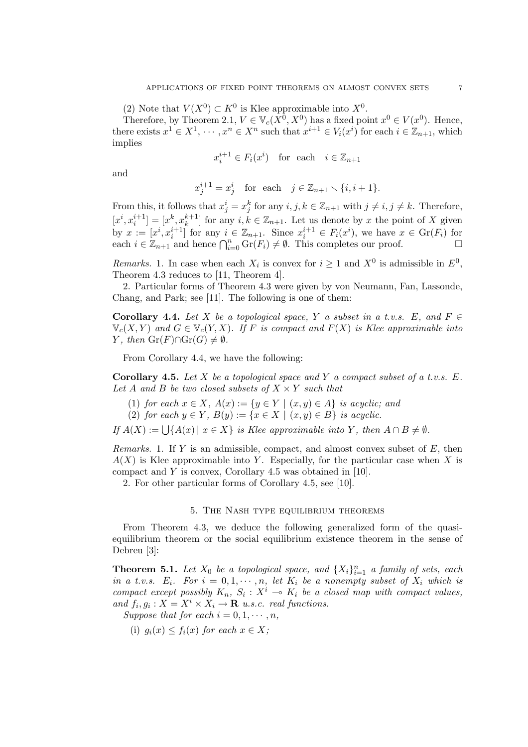(2) Note that  $V(X^0) \subset K^0$  is Klee approximable into  $X^0$ .

Therefore, by Theorem 2.1,  $V \in V_c(X^0, X^0)$  has a fixed point  $x^0 \in V(x^0)$ . Hence, there exists  $x^1 \in X^1$ ,  $\cdots$ ,  $x^n \in X^n$  such that  $x^{i+1} \in V_i(x^i)$  for each  $i \in \mathbb{Z}_{n+1}$ , which implies

$$
x_i^{i+1} \in F_i(x^i) \quad \text{for each} \quad i \in \mathbb{Z}_{n+1}
$$

and

$$
x^{i+1}_j = x^i_j \quad \text{for~ each~} \quad j \in \mathbb{Z}_{n+1} \smallsetminus \{i,i+1\}.
$$

From this, it follows that  $x_j^i = x_j^k$  for any  $i, j, k \in \mathbb{Z}_{n+1}$  with  $j \neq i, j \neq k$ . Therefore,  $[x^i, x_i^{i+1}] = [x^k, x_k^{k+1}]$  for any  $i, k \in \mathbb{Z}_{n+1}$ . Let us denote by *x* the point of *X* given by  $x := [x^i, x_i^{i+1}]$  for any  $i \in \mathbb{Z}_{n+1}$ . Since  $x_i^{i+1} \in F_i(x^i)$ , we have  $x \in \text{Gr}(F_i)$  for each  $i \in \mathbb{Z}_{n+1}$  and hence  $\bigcap_{i=0}^{n} \text{Gr}(F_i) \neq \emptyset$ . This completes our proof. □

*Remarks.* 1. In case when each  $X_i$  is convex for  $i \geq 1$  and  $X^0$  is admissible in  $E^0$ , Theorem 4.3 reduces to [11, Theorem 4].

2. Particular forms of Theorem 4.3 were given by von Neumann, Fan, Lassonde, Chang, and Park; see [11]. The following is one of them:

**Corollary 4.4.** Let *X* be a topological space, *Y* a subset in a t.v.s.  $E$ , and  $F \in$ V*c*(*X, Y* ) *and G ∈* V*c*(*Y, X*)*. If F is compact and F*(*X*) *is Klee approximable into Y*, then  $\text{Gr}(F) \cap \text{Gr}(G) \neq ∅$ *.* 

From Corollary 4.4, we have the following:

**Corollary 4.5.** *Let X be a topological space and Y a compact subset of a t.v.s. E.* Let *A* and *B* be two closed subsets of  $X \times Y$  such that

- (1) *for each*  $x \in X$ *,*  $A(x) := \{y \in Y \mid (x, y) \in A\}$  *is acyclic; and*
- (2) *for each*  $y \in Y$ ,  $B(y) := \{x \in X \mid (x, y) \in B\}$  *is acyclic.*

 $If A(X) := \bigcup \{A(x) \mid x \in X\}$  *is Klee approximable into Y, then*  $A \cap B \neq \emptyset$ *.* 

*Remarks.* 1. If *Y* is an admissible, compact, and almost convex subset of *E*, then  $A(X)$  is Klee approximable into *Y*. Especially, for the particular case when X is compact and *Y* is convex, Corollary 4.5 was obtained in [10].

2. For other particular forms of Corollary 4.5, see [10].

### 5. The Nash type equilibrium theorems

From Theorem 4.3, we deduce the following generalized form of the quasiequilibrium theorem or the social equilibrium existence theorem in the sense of Debreu [3]:

**Theorem 5.1.** Let  $X_0$  be a topological space, and  $\{X_i\}_{i=1}^n$  a family of sets, each *in a t.v.s.*  $E_i$ *. For*  $i = 0, 1, \dots, n$ *, let*  $K_i$  *be a nonempty subset of*  $X_i$  *which is compact except possibly*  $K_n$ ,  $S_i$ :  $X^i$   $\multimap$   $K_i$  be a closed map with compact values, *and*  $f_i, g_i: X = X^i \times X_i \rightarrow \mathbf{R}$  *u.s.c. real functions.* 

*Suppose that for each*  $i = 0, 1, \dots, n$ ,

(i)  $q_i(x) \leq f_i(x)$  for each  $x \in X$ ;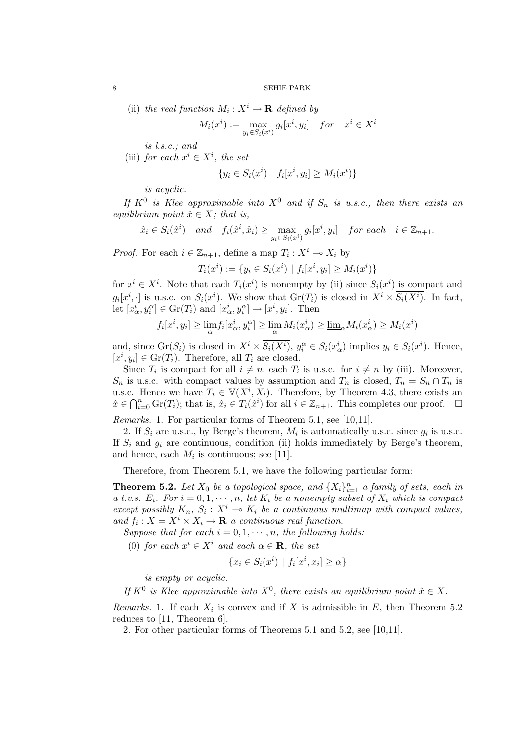(ii) *the real function*  $M_i: X^i \to \mathbf{R}$  *defined by* 

$$
M_i(x^i) := \max_{y_i \in S_i(x^i)} g_i[x^i, y_i] \quad for \quad x^i \in X^i
$$

*is l.s.c.; and*

(iii) *for each*  $x^i \in X^i$ *, the set* 

$$
\{y_i \in S_i(x^i) \mid f_i[x^i, y_i] \ge M_i(x^i)\}
$$

*is acyclic.*

*If*  $K^0$  *is Klee approximable into*  $X^0$  *and if*  $S_n$  *is u.s.c., then there exists an equilibrium point*  $\hat{x} \in X$ *; that is,* 

$$
\hat{x}_i \in S_i(\hat{x}^i) \quad and \quad f_i(\hat{x}^i, \hat{x}_i) \ge \max_{y_i \in S_i(x^i)} g_i[x^i, y_i] \quad for each \quad i \in \mathbb{Z}_{n+1}.
$$

*Proof.* For each  $i \in \mathbb{Z}_{n+1}$ , define a map  $T_i : X^i \to X_i$  by

$$
T_i(x^i) := \{ y_i \in S_i(x^i) \mid f_i[x^i, y_i] \ge M_i(x^i) \}
$$

for  $x^i \in X^i$ . Note that each  $T_i(x^i)$  is nonempty by (ii) since  $S_i(x^i)$  is compact and  $g_i[x^i, \cdot]$  is u.s.c. on  $S_i(x^i)$ . We show that  $Gr(T_i)$  is closed in  $X^i \times \overline{S_i(X^i)}$ . In fact, let  $[x^i_\alpha, y^\alpha_i] \in \text{Gr}(T_i)$  and  $[x^i_\alpha, y^\alpha_i] \to [x^i, y_i]$ . Then

$$
f_i[x^i, y_i] \ge \overline{\lim_{\alpha}} f_i[x^i_{\alpha}, y_i^{\alpha}] \ge \overline{\lim_{\alpha}} M_i(x^i_{\alpha}) \ge \underline{\lim}_{\alpha} M_i(x^i_{\alpha}) \ge M_i(x^i)
$$

and, since  $\operatorname{Gr}(S_i)$  is closed in  $X^i \times \overline{S_i(X^i)}$ ,  $y_i^{\alpha} \in S_i(x_{\alpha}^i)$  implies  $y_i \in S_i(x^i)$ . Hence,  $[x^i, y_i] \in \text{Gr}(T_i)$ . Therefore, all  $T_i$  are closed.

Since  $T_i$  is compact for all  $i \neq n$ , each  $T_i$  is u.s.c. for  $i \neq n$  by (iii). Moreover, *S<sub>n</sub>* is u.s.c. with compact values by assumption and  $T_n$  is closed,  $T_n = S_n \cap T_n$  is u.s.c. Hence we have  $T_i \in V(X^i, X_i)$ . Therefore, by Theorem 4.3, there exists an  $\hat{x} \in \bigcap_{i=0}^n \text{Gr}(T_i)$ ; that is,  $\hat{x}_i \in T_i(\hat{x}^i)$  for all  $i \in \mathbb{Z}_{n+1}$ . This completes our proof.  $\Box$ 

*Remarks.* 1. For particular forms of Theorem 5.1, see [10,11].

2. If  $S_i$  are u.s.c., by Berge's theorem,  $M_i$  is automatically u.s.c. since  $g_i$  is u.s.c. If  $S_i$  and  $g_i$  are continuous, condition (ii) holds immediately by Berge's theorem, and hence, each  $M_i$  is continuous; see [11].

Therefore, from Theorem 5.1, we have the following particular form:

**Theorem 5.2.** Let  $X_0$  be a topological space, and  $\{X_i\}_{i=1}^n$  a family of sets, each in *a t.v.s.*  $E_i$ *. For*  $i = 0, 1, \dots, n$ *, let*  $K_i$  *be a nonempty subset of*  $X_i$  *which is compact except possibly*  $K_n$ ,  $S_i$ :  $X^i$   $\rightarrow$   $K_i$  *be a continuous multimap with compact values, and*  $f_i: X = X^i \times X_i \rightarrow \mathbf{R}$  *a continuous real function.* 

*Suppose that for each*  $i = 0, 1, \cdots, n$ , the following holds:

(0) *for each*  $x^i \in X^i$  *and each*  $\alpha \in \mathbf{R}$ *, the set* 

$$
\{x_i \in S_i(x^i) \mid f_i[x^i, x_i] \ge \alpha\}
$$

*is empty or acyclic.*

*If*  $K^0$  *is Klee approximable into*  $X^0$ , *there exists an equilibrium point*  $\hat{x} \in X$ *.* 

*Remarks.* 1. If each  $X_i$  is convex and if  $X$  is admissible in  $E$ , then Theorem 5.2 reduces to [11, Theorem 6].

2. For other particular forms of Theorems 5.1 and 5.2, see [10,11].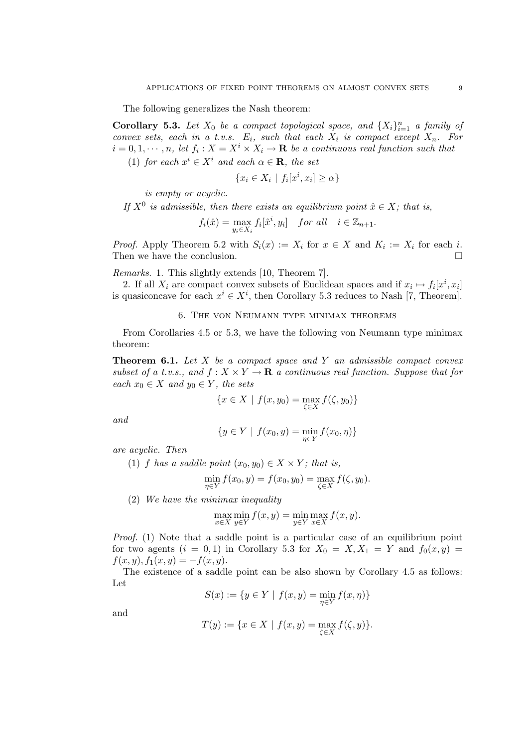The following generalizes the Nash theorem:

**Corollary 5.3.** Let  $X_0$  be a compact topological space, and  $\{X_i\}_{i=1}^n$  a family of *convex sets, each in a t.v.s.*  $E_i$ *, such that each*  $X_i$  *is compact except*  $X_n$ *. For*  $i = 0, 1, \dots, n$ , let  $f_i: X = X^i \times X_i \to \mathbf{R}$  be a continuous real function such that

(1) *for each*  $x^i \in X^i$  *and each*  $\alpha \in \mathbf{R}$ *, the set* 

$$
\{x_i \in X_i \mid f_i[x^i, x_i] \ge \alpha\}
$$

*is empty or acyclic.*

*If*  $X^0$  *is admissible, then there exists an equilibrium point*  $\hat{x} \in X$ *; that is,* 

$$
f_i(\hat{x}) = \max_{y_i \in X_i} f_i[\hat{x}^i, y_i] \quad \text{for all} \quad i \in \mathbb{Z}_{n+1}.
$$

*Proof.* Apply Theorem 5.2 with  $S_i(x) := X_i$  for  $x \in X$  and  $K_i := X_i$  for each  $i$ . Then we have the conclusion.  $\Box$ 

*Remarks.* 1. This slightly extends [10, Theorem 7].

2. If all  $X_i$  are compact convex subsets of Euclidean spaces and if  $x_i \mapsto f_i[x^i, x_i]$ is quasiconcave for each  $x^i \in X^i$ , then Corollary 5.3 reduces to Nash [7, Theorem].

# 6. The von Neumann type minimax theorems

From Corollaries 4.5 or 5.3, we have the following von Neumann type minimax theorem:

**Theorem 6.1.** *Let X be a compact space and Y an admissible compact convex subset of a t.v.s., and*  $f: X \times Y \to \mathbf{R}$  *a continuous real function. Suppose that for*  $\forall$ *each*  $x_0$  ∈ *X* and  $y_0$  ∈ *Y*, the sets

$$
\{x \in X \mid f(x, y_0) = \max_{\zeta \in X} f(\zeta, y_0)\}
$$

*and*

$$
\{y \in Y \mid f(x_0, y) = \min_{\eta \in Y} f(x_0, \eta)\}
$$

*are acyclic. Then*

(1) *f* has a saddle point  $(x_0, y_0) \in X \times Y$ ; that is,

$$
\min_{\eta \in Y} f(x_0, y) = f(x_0, y_0) = \max_{\zeta \in X} f(\zeta, y_0).
$$

(2) *We have the minimax inequality*

$$
\max_{x \in X} \min_{y \in Y} f(x, y) = \min_{y \in Y} \max_{x \in X} f(x, y).
$$

*Proof.* (1) Note that a saddle point is a particular case of an equilibrium point for two agents  $(i = 0, 1)$  in Corollary 5.3 for  $X_0 = X, X_1 = Y$  and  $f_0(x, y) =$  $f(x, y), f_1(x, y) = -f(x, y).$ 

The existence of a saddle point can be also shown by Corollary 4.5 as follows: Let

$$
S(x):=\{y\in Y\ |\ f(x,y)=\min_{\eta\in Y}f(x,\eta)\}
$$

and

$$
T(y) := \{ x \in X \mid f(x, y) = \max_{\zeta \in X} f(\zeta, y) \}.
$$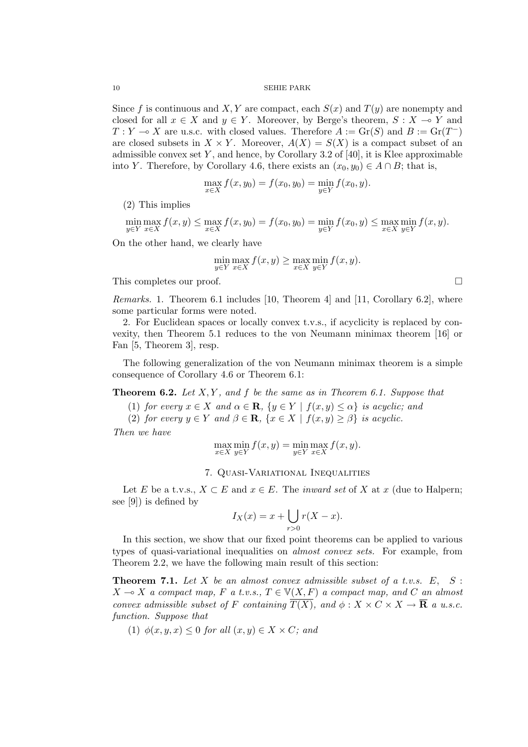Since f is continuous and X, Y are compact, each  $S(x)$  and  $T(y)$  are nonempty and closed for all  $x \in X$  and  $y \in Y$ . Moreover, by Berge's theorem,  $S : X \to Y$  and  $T: Y \to X$  are u.s.c. with closed values. Therefore  $A := \text{Gr}(S)$  and  $B := \text{Gr}(T^{-})$ are closed subsets in  $X \times Y$ . Moreover,  $A(X) = S(X)$  is a compact subset of an admissible convex set  $Y$ , and hence, by Corollary 3.2 of [40], it is Klee approximable into *Y*. Therefore, by Corollary 4.6, there exists an  $(x_0, y_0) \in A \cap B$ ; that is,

$$
\max_{x \in X} f(x, y_0) = f(x_0, y_0) = \min_{y \in Y} f(x_0, y).
$$

(2) This implies

$$
\min_{y \in Y} \max_{x \in X} f(x, y) \le \max_{x \in X} f(x, y_0) = f(x_0, y_0) = \min_{y \in Y} f(x_0, y) \le \max_{x \in X} \min_{y \in Y} f(x, y).
$$

On the other hand, we clearly have

$$
\min_{y \in Y} \max_{x \in X} f(x, y) \ge \max_{x \in X} \min_{y \in Y} f(x, y).
$$

This completes our proof.  $\Box$ 

*Remarks.* 1. Theorem 6.1 includes [10, Theorem 4] and [11, Corollary 6.2], where some particular forms were noted.

2. For Euclidean spaces or locally convex t.v.s., if acyclicity is replaced by convexity, then Theorem 5.1 reduces to the von Neumann minimax theorem [16] or Fan [5, Theorem 3], resp.

The following generalization of the von Neumann minimax theorem is a simple consequence of Corollary 4.6 or Theorem 6.1:

**Theorem 6.2.** *Let X, Y , and f be the same as in Theorem 6.1. Suppose that*

- (1) *for every*  $x \in X$  *and*  $\alpha \in \mathbf{R}$ ,  $\{y \in Y \mid f(x, y) \leq \alpha\}$  *is acyclic; and*
- (2) *for every*  $y \in Y$  *and*  $\beta \in \mathbf{R}$ ,  $\{x \in X \mid f(x, y) \geq \beta\}$  *is acyclic.*

*Then we have*

$$
\max_{x \in X} \min_{y \in Y} f(x, y) = \min_{y \in Y} \max_{x \in X} f(x, y).
$$

### 7. Quasi-Variational Inequalities

Let *E* be a t.v.s.,  $X \subset E$  and  $x \in E$ . The *inward set* of *X* at *x* (due to Halpern; see [9]) is defined by

$$
I_X(x) = x + \bigcup_{r>0} r(X - x).
$$

In this section, we show that our fixed point theorems can be applied to various types of quasi-variational inequalities on *almost convex sets.* For example, from Theorem 2.2, we have the following main result of this section:

**Theorem 7.1.** *Let X be an almost convex admissible subset of a t.v.s. E, S* :  $X \rightarrow X$  *a compact map,*  $F$  *a t.v.s.,*  $T \in V(X, F)$  *a compact map, and*  $C$  *an almost convex admissible subset of F containing*  $T(X)$ *, and*  $\phi: X \times C \times X \rightarrow \mathbf{R}$  *a u.s.c. function. Suppose that*

(1)  $\phi(x, y, x) \leq 0$  *for all*  $(x, y) \in X \times C$ *; and*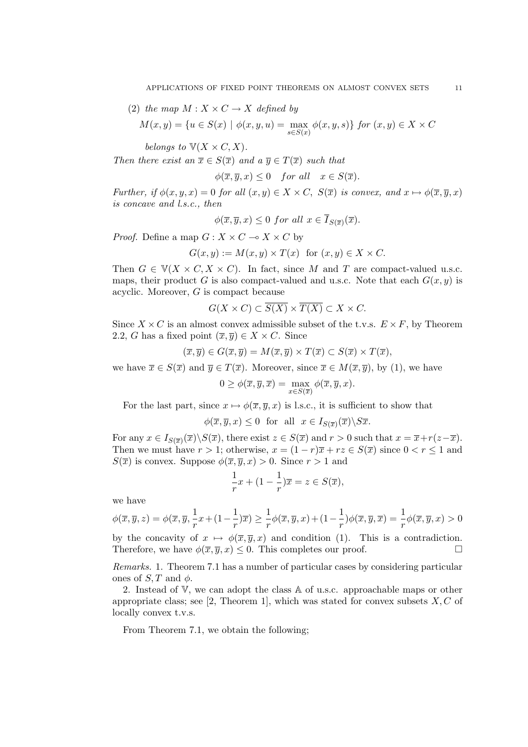(2) *the map*  $M: X \times C \rightarrow X$  *defined by* 

$$
M(x, y) = \{u \in S(x) \mid \phi(x, y, u) = \max_{s \in S(x)} \phi(x, y, s)\} \text{ for } (x, y) \in X \times C
$$

*belongs to*  $V(X \times C, X)$ *.* 

*Then there exist an*  $\overline{x} \in S(\overline{x})$  *and a*  $\overline{y} \in T(\overline{x})$  *such that* 

 $\phi(\overline{x}, \overline{y}, x) \leq 0$  *for all*  $x \in S(\overline{x})$ *.* 

*Further, if*  $\phi(x, y, x) = 0$  *for all*  $(x, y) \in X \times C$ ,  $S(\overline{x})$  *is convex, and*  $x \mapsto \phi(\overline{x}, \overline{y}, x)$ *is concave and l.s.c., then*

$$
\phi(\overline{x}, \overline{y}, x) \le 0 \text{ for all } x \in \overline{I}_{S(\overline{x})}(\overline{x}).
$$

*Proof.* Define a map  $G: X \times C \to X \times C$  by

$$
G(x, y) := M(x, y) \times T(x) \text{ for } (x, y) \in X \times C.
$$

Then  $G \in V(X \times C, X \times C)$ . In fact, since M and T are compact-valued u.s.c. maps, their product *G* is also compact-valued and u.s.c. Note that each  $G(x, y)$  is acyclic. Moreover, *G* is compact because

$$
G(X \times C) \subset \overline{S(X)} \times \overline{T(X)} \subset X \times C.
$$

Since  $X \times C$  is an almost convex admissible subset of the t.v.s.  $E \times F$ , by Theorem 2.2, *G* has a fixed point  $(\overline{x}, \overline{y}) \in X \times C$ . Since

$$
(\overline{x}, \overline{y}) \in G(\overline{x}, \overline{y}) = M(\overline{x}, \overline{y}) \times T(\overline{x}) \subset S(\overline{x}) \times T(\overline{x}),
$$

we have  $\overline{x} \in S(\overline{x})$  and  $\overline{y} \in T(\overline{x})$ . Moreover, since  $\overline{x} \in M(\overline{x}, \overline{y})$ , by (1), we have

$$
0 \ge \phi(\overline{x}, \overline{y}, \overline{x}) = \max_{x \in S(\overline{x})} \phi(\overline{x}, \overline{y}, x).
$$

For the last part, since  $x \mapsto \phi(\overline{x}, \overline{y}, x)$  is l.s.c., it is sufficient to show that

$$
\phi(\overline{x}, \overline{y}, x) \le 0
$$
 for all  $x \in I_{S(\overline{x})}(\overline{x}) \backslash S\overline{x}$ .

For any  $x \in I_{S(\overline{x})}(\overline{x}) \setminus S(\overline{x})$ , there exist  $z \in S(\overline{x})$  and  $r > 0$  such that  $x = \overline{x} + r(z - \overline{x})$ . Then we must have  $r > 1$ ; otherwise,  $x = (1 - r)\overline{x} + rz \in S(\overline{x})$  since  $0 < r \le 1$  and *S*( $\overline{x}$ ) is convex. Suppose  $\phi(\overline{x}, \overline{y}, x) > 0$ . Since  $r > 1$  and

$$
\frac{1}{r}x + (1 - \frac{1}{r})\overline{x} = z \in S(\overline{x}),
$$

we have

$$
\phi(\overline{x}, \overline{y}, z) = \phi(\overline{x}, \overline{y}, \frac{1}{r}x + (1 - \frac{1}{r})\overline{x}) \ge \frac{1}{r}\phi(\overline{x}, \overline{y}, x) + (1 - \frac{1}{r})\phi(\overline{x}, \overline{y}, \overline{x}) = \frac{1}{r}\phi(\overline{x}, \overline{y}, x) > 0
$$

by the concavity of  $x \mapsto \phi(\overline{x}, \overline{y}, x)$  and condition (1). This is a contradiction.<br>Therefore we have  $\phi(\overline{x}, \overline{y}, x) \leq 0$  This completes our proof Therefore, we have  $\phi(\overline{x}, \overline{y}, x) \leq 0$ . This completes our proof.

*Remarks.* 1. Theorem 7.1 has a number of particular cases by considering particular ones of  $S$ , T and  $\phi$ .

2. Instead of V, we can adopt the class A of u.s.c. approachable maps or other appropriate class; see [2, Theorem 1], which was stated for convex subsets *X, C* of locally convex t.v.s.

From Theorem 7.1, we obtain the following;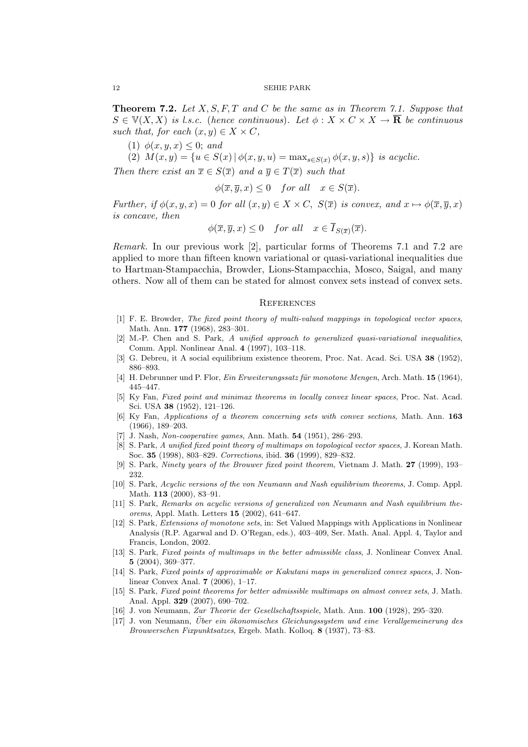**Theorem 7.2.** *Let X, S, F, T and C be the same as in Theorem 7.1. Suppose that*  $S \in \mathbb{V}(X, X)$  *is l.s.c.* (*hence continuous*). Let  $\phi: X \times C \times X \to \mathbf{R}$  *be continuous such that, for each*  $(x, y) \in X \times C$ ,

(1)  $\phi(x, y, x) \leq 0$ ; *and* 

(2)  $M(x, y) = \{u \in S(x) | \phi(x, y, u) = \max_{s \in S(x)} \phi(x, y, s)\}\$ is acyclic.

*Then there exist an*  $\overline{x} \in S(\overline{x})$  *and a*  $\overline{y} \in T(\overline{x})$  *such that* 

$$
\phi(\overline{x}, \overline{y}, x) \le 0 \quad \text{for all} \quad x \in S(\overline{x}).
$$

*Further, if*  $\phi(x, y, x) = 0$  *for all*  $(x, y) \in X \times C$ ,  $S(\overline{x})$  *is convex, and*  $x \mapsto \phi(\overline{x}, \overline{y}, x)$ *is concave, then*

$$
\phi(\overline{x}, \overline{y}, x) \le 0 \quad \text{for all} \quad x \in \overline{I}_{S(\overline{x})}(\overline{x}).
$$

*Remark.* In our previous work [2], particular forms of Theorems 7.1 and 7.2 are applied to more than fifteen known variational or quasi-variational inequalities due to Hartman-Stampacchia, Browder, Lions-Stampacchia, Mosco, Saigal, and many others. Now all of them can be stated for almost convex sets instead of convex sets.

#### **REFERENCES**

- [1] F. E. Browder, *The fixed point theory of multi-valued mappings in topological vector spaces*, Math. Ann. **177** (1968), 283–301.
- [2] M.-P. Chen and S. Park, *A unified approach to generalized quasi-variational inequalities*, Comm. Appl. Nonlinear Anal. **4** (1997), 103–118.
- [3] G. Debreu, it A social equilibrium existence theorem, Proc. Nat. Acad. Sci. USA **38** (1952), 886–893.
- [4] H. Debrunner und P. Flor, *Ein Erweiterungssatz f¨ur monotone Mengen*, Arch. Math. **15** (1964), 445–447.
- [5] Ky Fan, *Fixed point and minimax theorems in locally convex linear spaces*, Proc. Nat. Acad. Sci. USA **38** (1952), 121–126.
- [6] Ky Fan, *Applications of a theorem concerning sets with convex sections*, Math. Ann. **163** (1966), 189–203.
- [7] J. Nash, *Non-cooperative games*, Ann. Math. **54** (1951), 286–293.
- [8] S. Park, *A unified fixed point theory of multimaps on topological vector spaces*, J. Korean Math. Soc. **35** (1998), 803–829. *Corrections*, ibid. **36** (1999), 829–832.
- [9] S. Park, *Ninety years of the Brouwer fixed point theorem*, Vietnam J. Math. **27** (1999), 193– 232.
- [10] S. Park, *Acyclic versions of the von Neumann and Nash equilibrium theorems*, J. Comp. Appl. Math. **113** (2000), 83–91.
- [11] S. Park, *Remarks on acyclic versions of generalized von Neumann and Nash equilibrium theorems*, Appl. Math. Letters **15** (2002), 641–647.
- [12] S. Park, *Extensions of monotone sets*, in: Set Valued Mappings with Applications in Nonlinear Analysis (R.P. Agarwal and D. O'Regan, eds.), 403–409, Ser. Math. Anal. Appl. 4, Taylor and Francis, London, 2002.
- [13] S. Park, *Fixed points of multimaps in the better admissible class*, J. Nonlinear Convex Anal. **5** (2004), 369–377.
- [14] S. Park, *Fixed points of approximable or Kakutani maps in generalized convex spaces*, J. Nonlinear Convex Anal. **7** (2006), 1–17.
- [15] S. Park, *Fixed point theorems for better admissible multimaps on almost convex sets*, J. Math. Anal. Appl. **329** (2007), 690–702.
- [16] J. von Neumann, *Zur Theorie der Gesellschaftsspiele*, Math. Ann. **100** (1928), 295–320.
- [17] J. von Neumann, *Über ein ökonomisches Gleichungssystem und eine Verallgemeinerung des Brouwerschen Fixpunktsatzes*, Ergeb. Math. Kolloq. **8** (1937), 73–83.